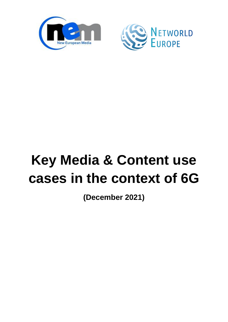



# **Key Media & Content use cases in the context of 6G**

**(December 2021)**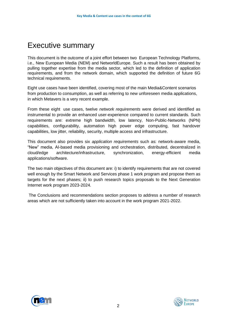## <span id="page-1-0"></span>Executive summary

This document is the outcome of a joint effort between two European Technology Platforms, i.e., New European Media (NEM) and NetworldEurope. Such a result has been obtained by pulling together expertise from the media sector, which led to the definition of application requirements, and from the network domain, which supported the definition of future 6G technical requirements.

Eight use cases have been identified, covering most of the main Media&Content scenarios from production to consumption, as well as referring to new unforeseen media applications, in which Metavers is a very recent example.

From these eight use cases, twelve *network requirements* were derived and identified as instrumental to provide an enhanced user-experience compared to current standards. Such requirements are: extreme high bandwidth, low latency, Non-Public-Networks (NPN) capabilities, configurability, automation high power edge computing, fast handover capabilities, low jitter, reliability, security, multiple access and infrastructure.

This document also provides six *application requirements* such as: network-aware media, "New" media, AI-based media provisioning and orchestration, distributed, decentralized in cloud/edge architecture/infrastructure, synchronization, energy-efficient media applications/software.

The two main objectives of this document are: i) to identify requirements that are not covered well enough by the Smart Network and Services phase 1 work program and propose them as targets for the next phases; ii) to push research topics proposals to the Next Generation Internet work program 2023-2024.

The Conclusions and recommendations section proposes to address a number of research areas which are not sufficiently taken into account in the work program 2021-2022.



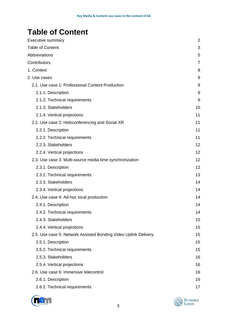## <span id="page-2-0"></span>**Table of Content**

| <b>Executive summary</b>                                        | $\overline{2}$ |
|-----------------------------------------------------------------|----------------|
| <b>Table of Content</b>                                         | 3              |
| <b>Abbreviations</b>                                            | 5              |
| Contributors                                                    | 7              |
| 1. Context                                                      | 8              |
| 2. Use cases                                                    | 9              |
| 2.1. Use case 1: Professional Content Production                | 9              |
| 2.1.1. Description                                              | 9              |
| 2.1.2. Technical requirements                                   | 9              |
| 2.1.3. Stakeholders                                             | 10             |
| 2.1.4. Vertical projections                                     | 11             |
| 2.2. Use case 2: Holoconferencing and Social XR                 | 11             |
| 2.2.1. Description                                              | 11             |
| 2.2.2. Technical requirements                                   | 11             |
| 2.2.3. Stakeholders                                             | 12             |
| 2.2.4. Vertical projections                                     | 12             |
| 2.3. Use case 3: Multi-source media time synchronization        | 12             |
| 2.3.1. Description                                              | 12             |
| 2.3.2. Technical requirements                                   | 13             |
| 2.3.3. Stakeholders                                             | 14             |
| 2.3.4. Vertical projections                                     | 14             |
| 2.4. Use case 4: Ad-hoc local production                        | 14             |
| 2.4.1. Description                                              | 14             |
| 2.4.2. Technical requirements                                   | 14             |
| 2.4.3. Stakeholders                                             | 15             |
| 2.4.4. Vertical projections                                     | 15             |
| 2.5. Use case 5: Network Assisted Bonding Video Uplink Delivery | 15             |
| 2.5.1. Description                                              | 15             |
| 2.5.2. Technical requirements                                   | 15             |
| 2.5.3. Stakeholders                                             | 16             |
| 2.5.4. Vertical projections                                     | 16             |
| 2.6. Use case 6: Immersive telecontrol                          | 16             |
| 2.6.1. Description                                              | 16             |
| 2.6.2. Technical requirements                                   | 17             |



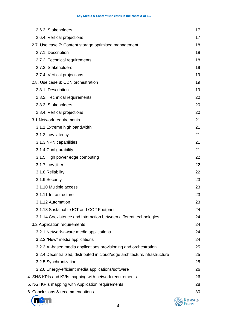| 2.6.3. Stakeholders                                                        | 17 |
|----------------------------------------------------------------------------|----|
| 2.6.4. Vertical projections                                                | 17 |
| 2.7. Use case 7: Content storage optimised management                      | 18 |
| 2.7.1. Description                                                         | 18 |
| 2.7.2. Technical requirements                                              | 18 |
| 2.7.3. Stakeholders                                                        | 19 |
| 2.7.4. Vertical projections                                                | 19 |
| 2.8. Use case 8: CDN orchestration                                         | 19 |
| 2.8.1. Description                                                         | 19 |
| 2.8.2. Technical requirements                                              | 20 |
| 2.8.3. Stakeholders                                                        | 20 |
| 2.8.4. Vertical projections                                                | 20 |
| 3.1 Network requirements                                                   | 21 |
| 3.1.1 Extreme high bandwidth                                               | 21 |
| 3.1.2 Low latency                                                          | 21 |
| 3.1.3 NPN capabilities                                                     | 21 |
| 3.1.4 Configurability                                                      | 21 |
| 3.1.5 High power edge computing                                            | 22 |
| 3.1.7 Low jitter                                                           | 22 |
| 3.1.8 Reliability                                                          | 22 |
| 3.1.9 Security                                                             | 23 |
| 3.1.10 Multiple access                                                     | 23 |
| 3.1.11 Infrastructure                                                      | 23 |
| 3.1.12 Automation                                                          | 23 |
| 3.1.13 Sustainable ICT and CO2 Footprint                                   | 24 |
| 3.1.14 Coexistence and Interaction between different technologies          | 24 |
| 3.2 Application requirements                                               | 24 |
| 3.2.1 Network-aware media applications                                     | 24 |
| 3.2.2 "New" media applications                                             | 24 |
| 3.2.3 Al-based media applications provisioning and orchestration           | 25 |
| 3.2.4 Decentralized, distributed in cloud/edge architecture/infrastructure | 25 |
| 3.2.5 Synchronization                                                      | 25 |
| 3.2.6 Energy-efficient media applications/software                         | 26 |
| 4. SNS KPIs and KVIs mapping with network requirements                     | 26 |
| 5. NGI KPIs mapping with Application requirements                          | 28 |
| 6. Conclusions & recommendations                                           | 30 |
|                                                                            |    |



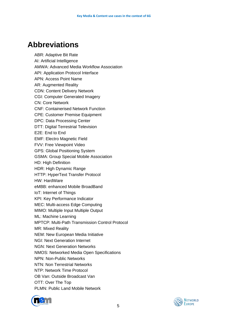## <span id="page-4-0"></span>**Abbreviations**

ABR: Adaptive Bit Rate AI: Artificial Intelligence AMWA: Advanced Media Workflow Association API: Application Protocol Interface APN: Access Point Name AR: Augmented Reality CDN: Content Delivery Network CGI: Computer Generated Imagery CN: Core Network CNF: Containerised Network Function CPE: Customer Premise Equipment DPC: Data Processing Center DTT: Digital Terrestrial Television E2E: End to End EMF: Electro Magnetic Field FVV: Free Viewpoint Video GPS: Global Positioning System GSMA: Group Special Mobile Association HD: High Definition HDR: High Dynamic Range HTTP: HyperText Transfer Protocol HW: HardWare eMBB: enhanced Mobile BroadBand IoT: Internet of Things KPI: Key Performance Indicator MEC: Multi-access Edge Computing MIMO: Multiple Input Multiple Output ML: Machine Learning MPTCP: Multi-Path Transmission Control Protocol MR: Mixed Reality NEM: New European Media Initiative NGI: Next Generation Internet NGN: Next Generation Networks NMOS: Networked Media Open Specifications NPN: Non-Public Networks NTN: Non Terrestrial Networks NTP: Network Time Protocol OB Van: Outside Broadcast Van OTT: Over The Top PLMN: Public Land Mobile Network



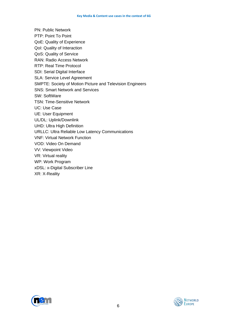PN: Public Network PTP: Point To Point QoE: Quality of Experience QoI: Quality of Interaction QoS: Quality of Service RAN: Radio Access Network RTP: Real Time Protocol SDI: Serial Digital Interface SLA: Service Level Agreement SMPTE: Society of Motion Picture and Television Engineers SNS: Smart Network and Services SW: SoftWare TSN: Time-Sensitive Network UC: Use Case UE: User Equipment UL/DL: Uplink/Downlink UHD: Ultra High Definition URLLC: Ultra Reliable Low Latency Communications VNF: Virtual Network Function VOD: Video On Demand VV: Viewpoint Video VR: Virtual reality WP: Work Program xDSL: x-Digital Subscriber Line XR: X-Reality



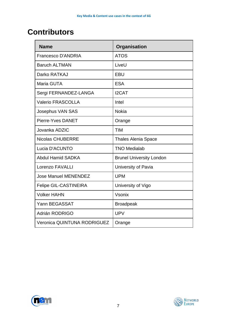## <span id="page-6-0"></span>**Contributors**

| <b>Name</b>                        | Organisation                    |
|------------------------------------|---------------------------------|
| <b>Francesco D'ANDRIA</b>          | <b>ATOS</b>                     |
| <b>Baruch ALTMAN</b>               | LiveU                           |
| Darko RATKAJ                       | <b>EBU</b>                      |
| Maria GUTA                         | <b>ESA</b>                      |
| Sergi FERNANDEZ-LANGA              | <b>I2CAT</b>                    |
| <b>Valerio FRASCOLLA</b>           | Intel                           |
| <b>Josephus VAN SAS</b>            | <b>Nokia</b>                    |
| Pierre-Yves DANET                  | Orange                          |
| Jovanka ADZIC                      | <b>TIM</b>                      |
| <b>Nicolas CHUBERRE</b>            | <b>Thales Alenia Space</b>      |
| Lucia D'ACUNTO                     | <b>TNO Medialab</b>             |
| <b>Abdul Hamid SADKA</b>           | <b>Brunel University London</b> |
| Lorenzo FAVALLI                    | University of Pavia             |
| <b>Jose Manuel MENENDEZ</b>        | <b>UPM</b>                      |
| <b>Felipe GIL-CASTINEIRA</b>       | University of Vigo              |
| <b>Volker HAHN</b>                 | Vsonix                          |
| Yann BEGASSAT                      | <b>Broadpeak</b>                |
| Adrián RODRIGO                     | <b>UPV</b>                      |
| <b>Veronica QUINTUNA RODRIGUEZ</b> | Orange                          |



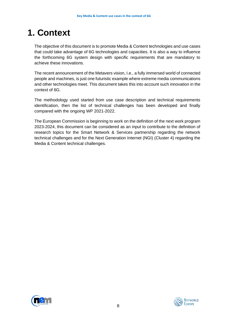## <span id="page-7-0"></span>**1. Context**

The objective of this document is to promote Media & Content technologies and use cases that could take advantage of 6G technologies and capacities. It is also a way to influence the forthcoming 6G system design with specific requirements that are mandatory to achieve these innovations.

The recent announcement of the Metavers vision, I.e., a fully immersed world of connected people and machines, is just one futuristic example where extreme media communications and other technologies meet. This document takes this into account such innovation in the context of 6G.

The methodology used started from use case description and technical requirements identification, then the list of technical challenges has been developed and finally compared with the ongoing WP 2021-2022.

The European Commission is beginning to work on the definition of the next work program 2023-2024, this document can be considered as an input to contribute to the definition of research topics for the Smart Network & Services partnership regarding the network technical challenges and for the Next Generation Internet (NGI) (Cluster 4) regarding the Media & Content technical challenges.



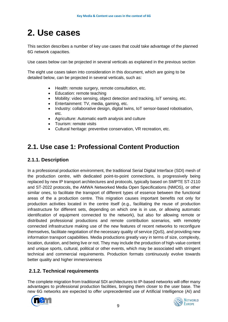## <span id="page-8-0"></span>**2. Use cases**

This section describes a number of key use cases that could take advantage of the planned 6G network capacities.

Use cases below can be projected in several verticals as explained in the previous section

The eight use cases taken into consideration in this document, which are going to be detailed below, can be projected in several verticals, such as:

- Health: remote surgery, remote consultation, etc.
- Education: remote teaching
- Mobility: video sensing, object detection and tracking, IoT sensing, etc.
- Entertainment: TV, media, gaming, etc.
- Industry: collaborative design, digital twins, IoT sensor-based robotisation, etc.
- Agriculture: Automatic earth analysis and culture
- Tourism: remote visits
- Cultural heritage: preventive conservation, VR recreation, etc.

### <span id="page-8-1"></span>**2.1. Use case 1: Professional Content Production**

#### <span id="page-8-2"></span>**2.1.1. Description**

In a professional production environment, the traditional Serial Digital Interface (SDI) mesh of the production centre, with dedicated point-to-point connections, is progressively being replaced by new IP transport architectures and protocols, typically based on SMPTE ST-2110 and ST-2022 protocols, the AMWA Networked Media Open Specifications (NMOS), or other similar ones, to facilitate the transport of different types of essence between the functional areas of the a production centre. This migration causes important benefits not only for production activities located in the centre itself (e.g., facilitating the reuse of production infrastructure for different sets, depending on which one is in use, or allowing automatic identification of equipment connected to the network), but also for allowing remote or distributed professional productions and remote contribution scenarios, with remotely connected infrastructure making use of the new features of recent networks to reconfigure themselves, facilitate negotiation of the necessary quality of service (QoS), and providing new information transport capabilities. Media productions greatly vary in terms of size, complexity, location, duration, and being live or not. They may include the production of high-value content and unique sports, cultural, political or other events, which may be associated with stringent technical and commercial requirements. Production formats continuously evolve towards better quality and higher immersiveness

#### <span id="page-8-3"></span>**2.1.2. Technical requirements**

The complete migration from traditional SDI architectures to IP-based networks will offer many advantages to professional production facilities, bringing them closer to the user base. The new 6G networks are expected to offer unprecedented use of Artificial Intelligence (AI) and



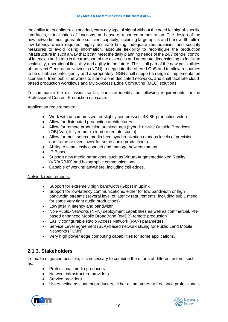the ability to reconfigure as needed, carry any type of signal without the need for signal-specific interfaces, virtualisation of functions, and ease of resource orchestration. The design of the new networks must guarantee sufficient capacity, including large uplink and bandwidth, ultralow latency where required, highly accurate timing, adequate redundancies and security measures to avoid losing information, absolute flexibility to reconfigure the production infrastructure in such a way that it can meet the daily planning needs of the 24/7 centre, control of latencies and jitters in the transport of the essences and adequate dimensioning to facilitate scalability, operational flexibility and agility in the future. This is all part of the new possibilities of the Next Generation Networks (NGN) to negotiate the offered QoS and to allow resources to be distributed intelligently and appropriately. NGN shall support a range of implementation scenarios, from public networks to stand-alone dedicated networks, and shall facilitate cloudbased production workflows and Multi-Access Edge Computing (MEC) solutions.

To summarize the discussion so far, one can identify the following requirements for the Professional Content Production use case.

#### Application requirements:

- Work with uncompressed, or slightly compressed, 4K-8K production video
- Allow for distributed production architectures
- Allow for remote production architectures (hybrid: on-site Outside Broadcast (OB) Van; fully remote: cloud or remote studio)
- Allow for multi-source media feed synchronization (various levels of precision, one frame or even lower for some audio productions)
- Ability to seamlessly connect and manage new equipment
- IP-Based
- Support new media paradigms, such as Virtual/Augmented/Mixed Reality (VR/AR/MR) and holographic communications
- Capable of working anywhere, including cell edges.

#### Network requirements:

- Support for extremely high bandwidth (Gbps) in uplink
- Support for low-latency communications, either for low bandwidth or high bandwidth streams (several level of latency requirements; including sub 1 msec for some very tight audio productions)
- Low jitter in latency and bandwidth
- Non-Public-Networks (NPN) deployment capabilities as well as commercial, PNbased enhanced Mobile BroadBand (eMBB) remote production
- Easily configurable Radio Access Network (RAN) parameters
- Service Level agreement (SLA)-based network slicing for Public Land Mobile Networks (PLMN)
- Very high power edge computing capabilities for some applications.

#### <span id="page-9-0"></span>**2.1.3. Stakeholders**

To make migration possible, it is necessary to combine the efforts of different actors, such as:

- Professional media producers
- Network infrastructure providers
- Service providers
- Users acting as content producers, either as amateurs or freelance professionals



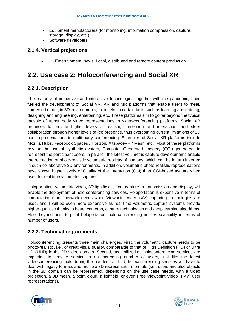- Equipment manufacturers (for monitoring, information compression, capture, storage, display, etc.)
- Software developers

#### <span id="page-10-0"></span>**2.1.4. Vertical projections**

• Entertainment, news: Local, distributed and remote content production.

### <span id="page-10-1"></span>**2.2. Use case 2: Holoconferencing and Social XR**

#### <span id="page-10-2"></span>**2.2.1. Description**

The maturity of immersive and interactive technologies together with the pandemic, have fuelled the development of Social VR, AR and MR platforms that enable users to meet, immersed or not, in 3D environments, to develop a certain task, such as learning and training, designing and engineering, entertaining, etc. These platforms aim to go far beyond the typical mosaic of upper body video representations in video-conferencing platforms. Social XR promises to provide higher levels of realism, immersion and interaction, and steer collaboration through higher levels of (co)presence, thus overcoming current limitations of 2D user representations in multi-party conferencing. Examples of Social XR platforms include Mozilla Hubs, Facebook Spaces / Horizon, AltspaceVR / Mesh, etc. Most of these platforms rely on the use of synthetic avatars, Computer Generated Imagery (CGI)-generated, to represent the participant users. In parallel, the latest volumetric capture developments enable the recreation of photo-realistic volumetric replicas of humans, which can be in turn inserted in such collaborative 3D environments. In addition, volumetric photo-realistic representations have shown higher levels of Quality of the Interaction (QoI) than CGI-based avatars when used for real time volumetric capture.

Holoportation, volumetric video, 3D lightfields, from capture to transmission and display, will enable the deployment of holo-conferencing services. Holoportation is expensive in terms of computational and network needs when Viewpoint Video (VV) capturing technologies are used, and it will be even more expensive as real time volumetric capture systems provide higher qualities thanks to better cameras, capture technologies and deep learning algorithms. Also, beyond point-to-point holoportation, holo-conferencing implies scalability in terms of number of users.

#### <span id="page-10-3"></span>**2.2.2. Technical requirements**

Holoconferencing presents three main challenges. First, the volumetric capture needs to be photo-realistic, i.e., of great visual quality, comparable to that of High Definition (HD) or Ultra HD (UHD) in the 2D video domain. Second, scalability, i.e., holoconferencing services are expected to provide service to an increasing number of users, just like the latest videoconferencing tools during the pandemic. Third, holoconferencing services will have to deal with legacy formats and multiple 3D representation formats (i.e., users and also objects in the 3D domain can be represented, depending on the use case needs, with a video projection, a 3D mesh, a point cloud, a lighfield, or even Free Viewpoint Video (FVV) user representations).



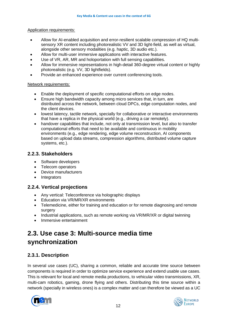#### Application requirements:

- Allow for AI-enabled acquisition and error-resilient scalable compression of HQ multisensory XR content including photorealistic VV and 3D light-field, as well as virtual, alongside other sensory modalities (e.g. haptic, 3D audio etc.).
- Allow for multi-user immersive applications with interactive features.
- Use of VR, AR, MR and holoportation with full sensing capabilities.
- Allow for immersive representations in high-detail 360-degree virtual content or highly photorealistic (e.g. VV, 3D lightfields).
- Provide an enhanced experience over current conferencing tools.

#### Network requirements:

- Enable the deployment of specific computational efforts on edge nodes.
- Ensure high bandwidth capacity among micro services that, in turn, are distributed across the network, between cloud DPCs, edge computation nodes, and the client devices.
- lowest latency, tactile network, specially for collaborative or interactive environments that have a replica in the physical world (e.g., driving a car remotely).
- handover capabilities that include, not only at transmission level, but also to transfer computational efforts that need to be available and continuous in mobility environments (e.g., edge rendering, edge volume reconstruction, AI components based on upload data streams, compression algorithms, distributed volume capture systems, etc.).

#### <span id="page-11-0"></span>**2.2.3. Stakeholders**

- Software developers
- Telecom operators
- Device manufacturers
- Integrators

#### <span id="page-11-1"></span>**2.2.4. Vertical projections**

- Any vertical: Teleconference via holographic displays
- Education via VR/MR/XR environments
- Telemedicine, either for training and education or for remote diagnosing and remote surgery
- Industrial applications, such as remote working via VR/MR/XR or digital twinning
- Immersive entertainment

### <span id="page-11-2"></span>**2.3. Use case 3: Multi-source media time synchronization**

#### <span id="page-11-3"></span>**2.3.1. Description**

In several use cases (UC), sharing a common, reliable and accurate time source between components is required in order to optimize service experience and extend usable use cases. This is relevant for local and remote media productions, to vehicular video transmissions, XR, multi-cam robotics, gaming, drone flying and others. Distributing this time source within a network (specially in wireless ones) is a complex matter and can therefore be viewed as a UC



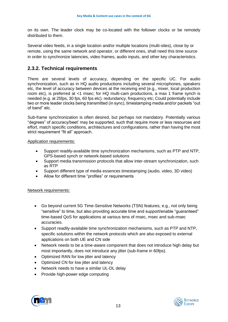on its own. The leader clock may be co-located with the follower clocks or be remotely distributed to them.

Several video feeds, in a single location and/or multiple locations (multi-sites), close by or remote, using the same network and operator, or different ones, shall need this time source in order to synchronize latencies, video frames, audio inputs, and other key characteristics.

#### <span id="page-12-0"></span>**2.3.2. Technical requirements**

There are several levels of accuracy, depending on the specific UC. For audio synchronization, such as in HQ audio productions including several microphones, speakers etc, the level of accuracy between devices at the receiving end (e.g., mixer, local production room etc), is preferred at <1 msec; for HQ multi-cam productions, a max 1 frame synch is needed (e.g. at 25fps, 30 fps, 60 fps etc). redundancy, frequency etc; Could potentially include two or more leader clocks being transmitted (in sync), timestamping media and/or packets "out of band" etc.

Sub-frame synchronization is often desired, but perhaps not mandatory. Potentially various "degrees" of accuracy/beet' may be supported, such that require more or less resources and effort, match specific conditions, architectures and configurations, rather than having the most strict requirement "fit all" approach.

#### Application requirements:

- Support readily-available time synchronization mechanisms, such as PTP and NTP, GPS-based synch or network-based solutions
- Support media transmission protocols that allow inter-stream synchronization, such as RTP
- Support different type of media essences timestamping (audio, video, 3D video)
- Allow for different time "profiles" or requirements

#### Network requirements:

- Go beyond current 5G Time-Sensitive Networks (TSN) features, e.g., not only being "sensitive" to time, but also providing accurate time and support/enable "guaranteed" time-based QoS for applications at various tens of msec, msec and sub-msec accuracies.
- Support readily-available time synchronization mechanisms, such as PTP and NTP, specific solutions within the network protocols which are also exposed to external applications on both UE and CN side
- Network needs to be a time-aware component that does not introduce high delay but most importantly, does not introduce any jitter (sub-frame in 60fps).
- Optimized RAN for low jitter and latency
- Optimized CN for low jitter and latency
- Network needs to have a similar UL-DL delay
- Provide high-power edge computing



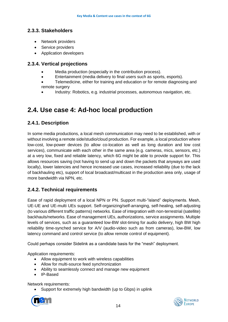#### <span id="page-13-0"></span>**2.3.3. Stakeholders**

- Network providers
- Service providers
- Application developers

#### <span id="page-13-1"></span>**2.3.4. Vertical projections**

- Media production (especially in the contribution process).
- Entertainment (media delivery to final users such as sports, esports).
- Telemedicine, either for training and education or for remote diagnosing and remote surgery
- Industry: Robotics, e.g. industrial processes, autonomous navigation, etc.

### <span id="page-13-2"></span>**2.4. Use case 4: Ad-hoc local production**

#### <span id="page-13-3"></span>**2.4.1. Description**

In some media productions, a local mesh communication may need to be established, with or without involving a remote side/studio/cloud production. For example, a local production where low-cost, low-power devices (to allow co-location as well as long duration and low cost services), communicate with each other in the same area (e.g. cameras, mics, sensors, etc.) at a very low, fixed and reliable latency, which 6G might be able to provide support for. This allows resources saving (not having to send up and down the packets that anyways are used locally), lower latencies and hence increased use cases, increased reliability (due to the lack of backhauling etc), support of local broadcast/multicast in the production area only, usage of more bandwidth via NPN, etc.

#### <span id="page-13-4"></span>**2.4.2. Technical requirements**

Ease of rapid deployment of a local NPN or PN. Support multi-"island" deployments. Mesh, UE-UE and UE-multi UEs support. Self-organizing/self-arranging, self-healing, self-adjusting (to various different traffic patterns) networks. Ease of integration with non-terrestrial (satellite) backhauls/networks. Ease of management UEs, authorizations, service assignments. Multiple levels of services, such as a guaranteed low-BW slot-timing for audio delivery, high BW high reliability time-synched service for A/V (audio-video such as from cameras), low-BW, low latency command and control service (to allow remote control of equipment).

Could perhaps consider Sidelink as a candidate basis for the "mesh" deployment.

Application requirements:

- Allow equipment to work with wireless capabilities
- Allow for multi-source feed synchronization
- Ability to seamlessly connect and manage new equipment
- IP-Based

Network requirements:

Support for extremely high bandwidth (up to Gbps) in uplink



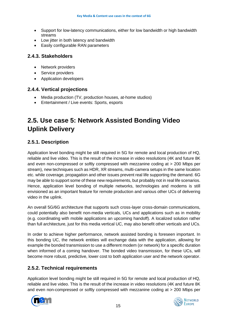- Support for low-latency communications, either for low bandwidth or high bandwidth streams
- Low jitter in both latency and bandwidth
- Easily configurable RAN parameters

#### <span id="page-14-0"></span>**2.4.3. Stakeholders**

- Network providers
- Service providers
- Application developers

#### <span id="page-14-1"></span>**2.4.4. Vertical projections**

- Media production (TV, production houses, at-home studios)
- Entertainment / Live events: Sports, esports

## <span id="page-14-2"></span>**2.5. Use case 5: Network Assisted Bonding Video Uplink Delivery**

#### <span id="page-14-3"></span>**2.5.1. Description**

Application level bonding might be still required in 5G for remote and local production of HQ, reliable and live video. This is the result of the increase in video resolutions (4K and future 8K and even non-compressed or softly compressed with mezzanine coding at > 200 Mbps per stream), new techniques such as HDR, XR streams, multi-camera setups in the same location etc. while coverage, propagation and other issues prevent real life supporting the demand. 6G may be able to support some of these new requirements, but probably not in real life scenarios. Hence, application level bonding of multiple networks, technologies and modems is still envisioned as an important feature for remote production and various other UCs of delivering video in the uplink.

An overall 5G/6G architecture that supports such cross-layer cross-domain communications, could potentially also benefit non-media verticals, UCs and applications such as in mobility (e.g. coordinating with mobile applications an upcoming handoff). A localized solution rather than full architecture, just for this media vertical UC, may also benefit other verticals and UCs.

In order to achieve higher performance, network assisted bonding is foreseen important. In this bonding UC, the network entities will exchange data with the application, allowing for example the bonded transmission to use a different modem (or network) for a specific duration when informed of a coming handover. The bonded video transmission, for these UCs, will become more robust, predictive, lower cost to both application user and the network operator.

#### <span id="page-14-4"></span>**2.5.2. Technical requirements**

Application level bonding might be still required in 5G for remote and local production of HQ, reliable and live video. This is the result of the increase in video resolutions (4K and future 8K and even non-compressed or softly compressed with mezzanine coding at > 200 Mbps per



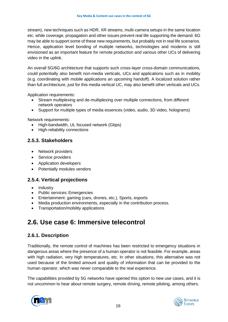stream), new techniques such as HDR, XR streams, multi-camera setups in the same location etc. while coverage, propagation and other issues prevent real life supporting the demand. 6G may be able to support some of these new requirements, but probably not in real life scenarios. Hence, application level bonding of multiple networks, technologies and modems is still envisioned as an important feature for remote production and various other UCs of delivering video in the uplink.

An overall 5G/6G architecture that supports such cross-layer cross-domain communications, could potentially also benefit non-media verticals, UCs and applications such as in mobility (e.g. coordinating with mobile applications an upcoming handoff). A localized solution rather than full architecture, just for this media vertical UC, may also benefit other verticals and UCs.

Application requirements:

- Stream multiplexing and de-multiplexing over multiple connections, from different network operators
- Support for multiple types of media essences (video, audio, 3D video, holograms)

Network requirements:

- High-bandwidth, UL focused network (Gbps)
- High-reliability connections

#### <span id="page-15-0"></span>**2.5.3. Stakeholders**

- Network providers
- Service providers
- Application developers
- Potentially modules vendors

#### <span id="page-15-1"></span>**2.5.4. Vertical projections**

- Industry
- Public services: Emergencies
- Entertainment: gaming (cars, drones, etc.), Sports, esports
- Media production environments, especially in the contribution process.
- Transportation/mobility applications

### <span id="page-15-2"></span>**2.6. Use case 6: Immersive telecontrol**

#### <span id="page-15-3"></span>**2.6.1. Description**

Traditionally, the remote control of machines has been restricted to emergency situations in dangerous areas where the presence of a human operator is not feasible. For example, areas with high radiation, very high temperatures, etc. In other situations, this alternative was not used because of the limited amount and quality of information that can be provided to the human operator, which was never comparable to the real experience.

The capabilities provided by 5G networks have opened this option to new use cases, and it is not uncommon to hear about remote surgery, remote driving, remote piloting, among others.



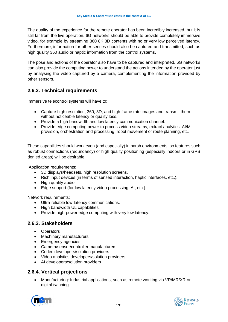The quality of the experience for the remote operator has been incredibly increased, but it is still far from the live operation. 6G networks should be able to provide completely immersive video, for example by streaming 360 8K 3D contents with no or very low perceived latency. Furthermore, information for other senses should also be captured and transmitted, such as high quality 360 audio or haptic information from the control systems.

The pose and actions of the operator also have to be captured and interpreted. 6G networks can also provide the computing power to understand the actions intended by the operator just by analysing the video captured by a camera, complementing the information provided by other sensors.

#### <span id="page-16-0"></span>**2.6.2. Technical requirements**

Immersive telecontrol systems will have to:

- Capture high resolution, 360, 3D, and high frame rate images and transmit them without noticeable latency or quality loss.
- Provide a high bandwidth and low latency communication channel.
- Provide edge computing power to process video streams, extract analytics, AI/ML provision, orchestration and processing, robot movement or route planning, etc.

These capabilities should work even (and especially) in harsh environments, so features such as robust connections (redundancy) or high quality positioning (especially indoors or in GPS denied areas) will be desirable.

Application requirements:

- 3D displays/headsets, high resolution screens.
- Rich input devices (in terms of sensed interaction, haptic interfaces, etc.).
- High quality audio.
- Edge support (for low latency video processing, AI, etc.).

Network requirements:

- Ultra-reliable low-latency communications.
- High bandwidth UL capabilities.
- Provide high-power edge computing with very low latency.

#### <span id="page-16-1"></span>**2.6.3. Stakeholders**

- Operators
- Machinery manufacturers
- Emergency agencies
- Camera/sensor/controller manufacturers
- Codec developers/solution providers
- Video analytics developers/solution providers
- AI developers/solution providers

#### <span id="page-16-2"></span>**2.6.4. Vertical projections**

• Manufacturing: Industrial applications, such as remote working via VR/MR/XR or digital twinning



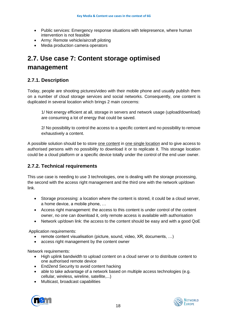- Public services: Emergency response situations with telepresence, where human intervention is not feasible
- Army: Remote vehicle/aircraft piloting
- Media production camera operators

### <span id="page-17-0"></span>**2.7. Use case 7: Content storage optimised management**

#### <span id="page-17-1"></span>**2.7.1. Description**

Today, people are shooting pictures/video with their mobile phone and usually publish them on a number of cloud storage services and social networks. Consequently, one content is duplicated in several location which brings 2 main concerns:

1/ Not energy efficient at all, storage in servers and network usage (upload/download) are consuming a lot of energy that could be saved.

2/ No possibility to control the access to a specific content and no possibility to remove exhaustively a content.

A possible solution should be to store one content in one single location and to give access to authorised persons with no possibility to download it or to replicate it. This storage location could be a cloud platform or a specific device totally under the control of the end user owner.

#### <span id="page-17-2"></span>**2.7.2. Technical requirements**

This use case is needing to use 3 technologies, one is dealing with the storage processing, the second with the access right management and the third one with the network up/down link.

- Storage processing: a location where the content is stored, it could be a cloud server, a home device, a mobile phone, …
- Access right management: the access to this content is under control of the content owner, no one can download it, only remote access is available with authorisation
- Network up/down link: the access to the content should be easy and with a good QoE

Application requirements:

- remote content visualisation (picture, sound, video, XR, documents, ...)
- access right management by the content owner

Network requirements:

- High uplink bandwidth to upload content on a cloud server or to distribute content to one authorised remote device
- End2end Security to avoid content hacking
- able to take advantage of a network based on multiple access technologies (e.g. cellular, wireless, wireline, satellite,...)
- Multicast, broadcast capabilities



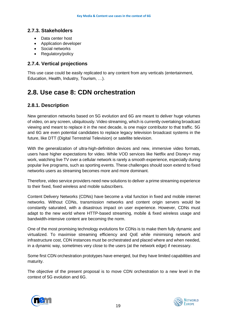#### <span id="page-18-0"></span>**2.7.3. Stakeholders**

- Data center host
- Application developer
- Social networks
- Regulatory/policy

#### <span id="page-18-1"></span>**2.7.4. Vertical projections**

This use case could be easily replicated to any content from any verticals (entertainment, Education, Health, Industry, Tourism, …).

### <span id="page-18-2"></span>**2.8. Use case 8: CDN orchestration**

#### <span id="page-18-3"></span>**2.8.1. Description**

New generation networks based on 5G evolution and 6G are meant to deliver huge volumes of video, on any screen, ubiquitously. Video streaming, which is currently overtaking broadcast viewing and meant to replace it in the next decade, is one major contributor to that traffic. 5G and 6G are even potential candidates to replace legacy television broadcast systems in the future, like DTT (Digital Terrestrial Television) or satellite television.

With the generalization of ultra-high-definition devices and new, immersive video formats, users have higher expectations for video. While VOD services like Netflix and Disney+ may work, watching live TV over a cellular network is rarely a smooth experience, especially during popular live programs, such as sporting events. These challenges should soon extend to fixed networks users as streaming becomes more and more dominant.

Therefore, video service providers need new solutions to deliver a prime streaming experience to their fixed, fixed wireless and mobile subscribers.

Content Delivery Networks (CDNs) have become a vital function in fixed and mobile internet networks. Without CDNs, transmission networks and content origin servers would be constantly saturated, with a disastrous impact on user experience. However, CDNs must adapt to the new world where HTTP-based streaming, mobile & fixed wireless usage and bandwidth-intensive content are becoming the norm.

One of the most promising technology evolutions for CDNs is to make them fully dynamic and virtualized. To maximise streaming efficiency and QoE while minimising network and infrastructure cost, CDN instances must be orchestrated and placed where and when needed, in a dynamic way, sometimes very close to the users (at the network edge) if necessary.

Some first CDN orchestration prototypes have emerged, but they have limited capabilities and maturity.

The objective of the present proposal is to move CDN orchestration to a new level in the context of 5G evolution and 6G.



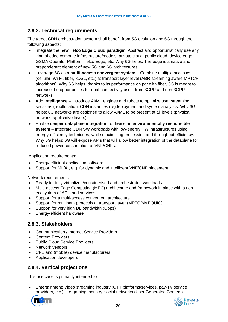#### <span id="page-19-0"></span>**2.8.2. Technical requirements**

The target CDN orchestration system shall benefit from 5G evolution and 6G through the following aspects:

- Integrate the **new Telco Edge Cloud paradigm**. Abstract and opportunistically use any kind of edge compute infrastructure/models: private cloud, public cloud, device edge, GSMA Operator Platform Telco Edge, etc. Why 6G helps: The edge is a native and preponderant element of new 5G and 6G architectures.
- Leverage 6G as a **multi-access convergent system** Combine multiple accesses (cellular, Wi-Fi, fiber, xDSL, etc.) at transport layer level (ABR-streaming aware MPTCP algorithms). Why 6G helps: thanks to its performance on par with fiber, 6G is meant to increase the opportunities for dual-connectivity uses, from 3GPP and non-3GPP networks.
- Add **intelligence** Introduce AI/ML engines and robots to optimize user streaming sessions (re)allocation, CDN instances (re)deployment and system analytics. Why 6G helps: 6G networks are designed to allow AI/ML to be present at all levels (physical, network, applicative layers).
- Enable **deeper dataplane integration** to devise an **environmentally responsible system** – Integrate CDN SW workloads with low-energy HW infrastructures using energy-efficiency techniques, while maximizing processing and throughput efficiency. Why 6G helps: 6G will expose APIs that will allow better integration of the dataplane for reduced power consumption of VNF/CNFs.

Application requirements:

- Energy-efficient application software
- Support for ML/AI, e.g. for dynamic and intelligent VNF/CNF placement

Network requirements:

- Ready for fully virtualized/containerised and orchestrated workloads
- Multi-access Edge Computing (MEC) architecture and framework in place with a rich ecosystem of APIs and services
- Support for a multi-access convergent architecture
- Support for multipath protocols at transport layer (MPTCP/MPQUIC)
- Support for very high DL bandwidth (Gbps)
- <span id="page-19-1"></span>• Energy-efficient hardware

#### **2.8.3. Stakeholders**

- Communication / Internet Service Providers
- Content Providers
- Public Cloud Service Providers
- Network vendors
- CPE and (mobile) device manufacturers
- Application developers

#### <span id="page-19-2"></span>**2.8.4. Vertical projections**

This use case is primarily intended for

• Entertainment: Video streaming industry (OTT platforms/services, pay-TV service providers, etc.), e-gaming industry, social networks (User Generated Content).

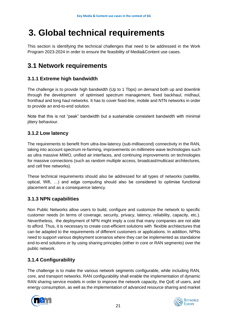## **3. Global technical requirements**

This section is identifying the technical challenges that need to be addressed in the Work Program 2023-2024 in order to ensure the feasibility of Media&Content use cases.

## <span id="page-20-0"></span>**3.1 Network requirements**

#### <span id="page-20-1"></span>**3.1.1 Extreme high bandwidth**

The challenge is to provide high bandwidth (Up to 1 Tbps) on demand both up and downlink through the development of optimised spectrum management, fixed backhaul, midhaul, fronthaul and long haul networks. It has to cover fixed-line, mobile and NTN networks in order to provide an end-to-end solution.

Note that this is not "peak" bandwidth but a sustainable consistent bandwidth with minimal jittery behaviour.

#### <span id="page-20-2"></span>**3.1.2 Low latency**

The requirements to benefit from ultra-low-latency (sub-millisecond) connectivity in the RAN, taking into account spectrum re-farming, improvements on millimetre wave technologies such as ultra massive MIMO, unified air interfaces, and continuing improvements on technologies for massive connections (such as random multiple access, broadcast/multicast architectures, and cell free networks).

These technical requirements should also be addressed for all types of networks (satellite, optical, Wifi, …) and edge computing should also be considered to optimise functional placement and as a consequence latency.

#### <span id="page-20-3"></span>**3.1.3 NPN capabilities**

Non Public Networks allow users to build, configure and customize the network to specific customer needs (in terms of coverage, security, privacy, latency, reliability, capacity, etc.). Nevertheless, the deployment of NPN might imply a cost that many companies are not able to afford. Thus, it is necessary to create cost-efficient solutions with flexible architectures that can be adapted to the requirements of different customers or applications. In addition, NPNs need to support various deployment scenarios where they can be implemented as standalone end-to-end solutions or by using sharing principles (either in core or RAN segments) over the public network.

#### <span id="page-20-4"></span>**3.1.4 Configurability**

The challenge is to make the various network segments configurable, while including RAN, core, and transport networks. RAN configurability shall enable the implementation of dynamic RAN sharing service models in order to improve the network capacity, the QoE of users, and energy consumption, as well as the implementation of advanced resource sharing and market



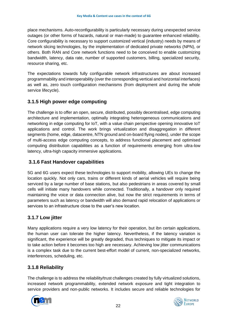place mechanisms. Auto-reconfigurability is particularly necessary during unexpected service outages (or other forms of hazards, natural or man-made) to guarantee enhanced reliability. Core configurability is necessary to support customized vertical (industry) needs by means of network slicing technologies, by the implementation of dedicated private networks (NPN), or others. Both RAN and Core network functions need to be conceived to enable customizing bandwidth, latency, data rate, number of supported customers, billing, specialized security, resource sharing, etc.

The expectations towards fully configurable network infrastructures are about increased programmability and interoperability (over the corresponding vertical and horizontal interfaces) as well as, zero touch configuration mechanisms (from deployment and during the whole service lifecycle).

#### <span id="page-21-0"></span>**3.1.5 High power edge computing**

The challenge is to offer an open, secure, distributed, possibly decentralised, edge computing architecture and implementation, optimally integrating heterogeneous communications and networking in edge computing for IoT, with a value chain perspective opening innovative IoT applications and control. The work brings virtualization and disaggregation in different segments (home, edge, datacentre, NTN ground and on-board flying nodes), under the scope of multi-access edge computing concepts, to address functional placement and optimised computing distribution capabilities as a function of requirements emerging from ultra-low latency, ultra-high capacity immersive applications.

#### **3.1.6 Fast Handover capabilities**

5G and 6G users expect these technologies to support mobility, allowing UEs to change the location quickly. Not only cars, trains or different kinds of aerial vehicles will require being serviced by a large number of base stations, but also pedestrians in areas covered by small cells will initiate many handovers while connected. Traditionally, a handover only required maintaining the voice or data connection alive, but now the strict requirements in terms of parameters such as latency or bandwidth will also demand rapid relocation of applications or services to an infrastructure close to the user's new location.

#### <span id="page-21-1"></span>**3.1.7 Low jitter**

Many applications require a very low latency for their operation, but ibn certain applications, the human user can tolerate the higher latency. Nevertheless, if the latency variation is significant, the experience will be greatly degraded, thus techniques to mitigate its impact or to take action before it becomes too high are necessary. Achieving low jitter communications is a complex task due to the current best-effort model of current, non-specialized networks, interferences, scheduling, etc.

#### <span id="page-21-2"></span>**3.1.8 Reliability**

The challenge is to address the reliability/trust challenges created by fully virtualized solutions, increased network programmability, extended network exposure and tight integration to service providers and non-public networks. It includes secure and reliable technologies for



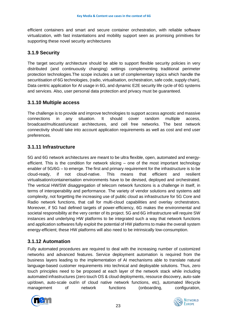efficient containers and smart and secure container orchestration, with reliable software virtualization, with fast instantiations and mobility support seen as promising primitives for supporting these novel security architectures

#### <span id="page-22-0"></span>**3.1.9 Security**

The target security architecture should be able to support flexible security policies in very distributed (and continuously changing) settings complementing traditional perimeter protection technologies.The scope includes a set of complementary topics which handle the securitisation of 6G technologies, (radio, virtualisation, orchestration, safe code, supply chain), Data centric application for AI usage in 6G, and dynamic E2E security life cycle of 6G systems and services. Also, user personal data protection and privacy must be guaranteed.

#### <span id="page-22-1"></span>**3.1.10 Multiple access**

The challenge is to provide and improve technologies to support access agnostic and massive connections in any situation. It should cover random multiple access, broadcast/multicast/unicast architectures, and cell free networks. The best network connectivity should take into account application requirements as well as cost and end user preferences.

#### <span id="page-22-2"></span>**3.1.11 Infrastructure**

5G and 6G network architectures are meant to be ultra flexible, open, automated and energyefficient. This is the condition for network slicing – one of the most important technology enabler of 5G/6G – to emerge. The first and primary requirement for the infrastructure is to be cloud-ready, if not cloud-native. This means that efficient and resilient virtualisation/containerisation environments have to be devised, deployed and orchestrated. The vertical HW/SW disaggregation of telecom network functions is a challenge in itself, in terms of interoperability and performance. The variety of vendor solutions and systems add complexity, not forgetting the increasing use of public cloud as infrastructure for 5G Core and Radio network functions, that call for multi-cloud capabilities and overlay orchestrators. Moreover, if 5G had defined targets of power-efficiency, 6G makes the environmental and societal responsibility at the very center of its project. 5G and 6G infrastructure will require SW instances and underlying HW platforms to be integrated such a way that network functions and application softwares fully exploit the potential of HW platforms to make the overall system energy-efficient; these HW platforms will also need to be intrinsically low-consumption.

#### <span id="page-22-3"></span>**3.1.12 Automation**

Fully automated procedures are required to deal with the increasing number of customized networks and advanced features. Service deployment automation is required from the business layers leading to the implementation of AI mechanisms able to translate natural language-based customer requirements into technical and deployable solutions. Thus, zero touch principles need to be proposed at each layer of the network stack while including automated infrastructures (zero touch OS & cloud deployments, resource discovery, auto-sale up/down, auto-scale out/in of cloud native network functions, etc), automated lifecycle management of network functions (onboarding, configuration,



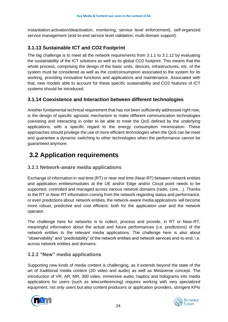instantiation,activation/deactivation, monitoring, service level enforcement), self-organized service management (end-to-end service level validation, multi-domain support).

#### <span id="page-23-0"></span>**3.1.13 Sustainable ICT and CO2 Footprint**

The big challenge is to meet all the network requirements from 3.1.1 to 3.1.12 by evaluating the sustainability of the ICT solutions as well as its global CO2 footprint. This means that the whole process, comprising the design of the basic units, devices, infrastructures, etc. of the system must be considered as well as the cost/consumption associated to the system for its working, providing innovative functions and applications and maintenance. Associated with that, new models able to account for these specific sustainability and CO2 features of ICT systems should be introduced.

#### <span id="page-23-1"></span>**3.1.14 Coexistence and Interaction between different technologies**

Another fundamental technical requirement that has not been sufficiently addressed right now, is the design of specific agnostic mechanism to make different communication technologies coexisting and interacting in order to be able to meet the QoS defined by the underlying applications, with a specific regard to the energy consumption minimization. These approaches should privilege the use of more efficient technologies when the QoS can be meet and guarantee a dynamic switching to other technologies when the performance cannot be guaranteed anymore.

### <span id="page-23-2"></span>**3.2 Application requirements**

#### <span id="page-23-3"></span>**3.2.1 Network-aware media applications**

Exchange of information in real time (RT) or near real time (Near-RT) between network entities and application entities/modules at the UE and/or Edge and/or Cloud point needs to be supported, controlled and managed across various network domains (radio, core, ..). Thanks to the RT or Near-RT information coming from the network regarding status and performance, or even predictions about network entities, the network-aware media applications will become more robust, predictive and cost efficient, both for the application user and the network operator.

The challenge here for networks is to collect, process and provide, in RT or Near-RT, meaningful information about the actual and future performances (i.e. predictions) of the network entities to the relevant media applications. The challenge here is also about "observability" and "predictability" of the network entities and network services end-to-end, i.e. across network entities and domains.

#### <span id="page-23-4"></span>**3.2.2 "New" media applications**

Supporting new kinds of media content is challenging, as it extends beyond the state of the art of traditional media content (2D video and audio) as well as Metaverse concept. The introduction of VR, AR, MR, 360 video, immersive audio, haptics and holograms into media applications for users (such as teleconferencing) requires working with very specialized equipment, not only users but also content producers or application providers, stringent KPIs



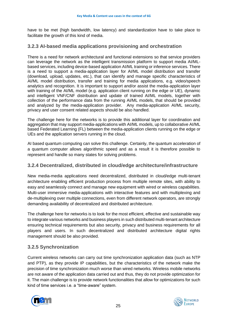have to be met (high bandwidth, low latency) and standardization have to take place to facilitate the growth of this kind of media.

#### <span id="page-24-0"></span>**3.2.3 AI-based media applications provisioning and orchestration**

There is a need for network architectural and functional extensions so that service providers can leverage the network as the intelligent transmission platform to support media AI/MLbased services, including device-based application AI/ML training or inference services. There is a need to support a media-application layer for AI/ML model distribution and transfer (download, upload, updates, etc.), that can identify and manage specific characteristics of AI/ML model distribution, transfer and training for media applications, e.g. video/speech analytics and recognition. It is important to support and/or assist the media-application layer with training of the AI/ML model (e.g. application client running on the edge or UE), dynamic and intelligent VNF/CNF distribution and update of trained AI/ML models, together with collection of the performance data from the running AI/ML models, that should be provided and analyzed by the media-application provider. Any media-application AI/ML security, privacy and user consent related aspects should be also handled.

The challenge here for the networks is to provide this additional layer for coordination and aggregation that may support media-applications with AI/ML models, up to collaborative AI/ML based Federated Learning (FL) between the media-application clients running on the edge or UEs and the application servers running in the cloud.

AI based quantum computing can solve this challenge. Certainly, the quantum acceleration of a quantum computer allows algorithmic speed and as a result it is therefore possible to represent and handle so many states for solving problems.

#### <span id="page-24-1"></span>**3.2.4 Decentralized, distributed in cloud/edge architecture/infrastructure**

New media-media applications need decentralized, distributed in cloud/edge multi-tenant architecture enabling efficient production process from multiple remote sites, with ability to easy and seamlessly connect and manage new equipment with wired or wireless capabilities. Multi-user immersive media-applications with interactive features and with multiplexing and de-multiplexing over multiple connections, even from different network operators, are strongly demanding availability of decentralized and distributed architecture.

The challenge here for networks is to look for the most efficient, effective and sustainable way to integrate various networks and business players in such distributed multi-tenant architecture ensuring technical requirements but also security, privacy and business requirements for all players and users. In such decentralized and distributed architecture digital rights management should be also provided.

#### <span id="page-24-2"></span>**3.2.5 Synchronization**

Current wireless networks can carry out time synchronization application data (such as NTP and PTP), as they provide IP capabilities, but the characteristics of the network make the precision of time synchronization much worse than wired networks. Wireless mobile networks are not aware of the application data carried out and thus, they do not provide optimization for it. The main challenge is to provide network functionalities that allow for optimizations for such kind of time services i.e. a "time-aware" system.



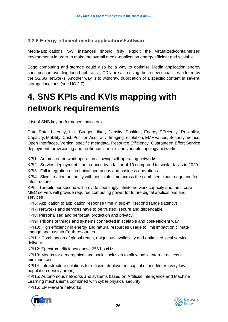#### <span id="page-25-0"></span>**3.2.6 Energy-efficient media applications/software**

Media-applications SW instances should fully exploit the virtualized/containerized environments in order to make the overall media-application energy efficient and scalable.

Edge computing and storage could also be a way to optimise Media application energy consumption avoiding long haul transit, CDN are also using these new capacities offered by the 5G/6G networks. Another way is to withdraw duplication of a specific content in several storage locations (see UC 2.7).

## <span id="page-25-1"></span>**4. SNS KPIs and KVIs mapping with network requirements**

List of SNS key performance Indicators

Data Rate, Latency, Link Budget, Jitter, Density, Position, Energy Efficiency, Reliability, Capacity, Mobility, Cost, Position Accuracy, Imaging resolution, EMF values, Security metrics, Open Interfaces, Vertical specific metadata, Resource Efficiency, Guaranteed Effort Service deployment, provisioning and resilience in multi- and variable topology networks.

KPI1 : Automated network operation allowing self-operating networks

KPI2: Service deployment time reduced by a factor of 10 compared to similar tasks in 2020

KPI3: Full integration of technical operations and business operations

KPI4: Slice creation on the fly with negligible time across the combined cloud, edge and fog infostructure

KPI5: Terabits per second will provide seemingly infinite network capacity and multi-core MEC servers will provide required computing power for future digital applications and services

KPI6: Application to application response time in sub-millisecond range (latency)

KPI7: Networks and services have to be trusted, secure and dependable

KPI8: Personalised and perpetual protection and privacy

KPI9: Trillions of things and systems connected in scalable and cost-efficient way

KPI10: High efficiency in energy and natural resources usage to limit impact on climate change and sustain Earth resources

KPI11: Combination of global reach, ubiquitous availability and optimised local service delivery

KPI12: Spectrum efficiency above 256 bps/Hz

KPI13: Means for geographical and social inclusion to allow basic Internet access at minimum cost

KPI14: Infrastructure solutions for efficient deployment capital expenditures (very lowpopulation density areas)

KPI15: Autonomous networks and systems based on Artificial Intelligence and Machine Learning mechanisms combined with cyber physical security

KPI16: EMF-aware networks



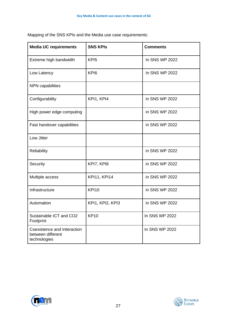| <b>Media UC requirements</b>                                     | <b>SNS KPIS</b>     | <b>Comments</b> |  |
|------------------------------------------------------------------|---------------------|-----------------|--|
| Extreme high bandwidth                                           | KPI <sub>5</sub>    | In SNS WP 2022  |  |
| Low Latency                                                      | KPI6                | In SNS WP 2022  |  |
| NPN capabilities                                                 |                     |                 |  |
| Configurability                                                  | KPI1, KPI4          | in SNS WP 2022  |  |
| High power edge computing                                        |                     | in SNS WP 2022  |  |
| Fast handover capabilities                                       |                     | in SNS WP 2022  |  |
| Low Jitter                                                       |                     |                 |  |
| Reliability                                                      |                     | in SNS WP 2022  |  |
| Security                                                         | KPI7, KPI8          | in SNS WP 2022  |  |
| Multiple access                                                  | <b>KPI11, KPI14</b> | in SNS WP 2022  |  |
| Infrastructure                                                   | <b>KPI10</b>        | in SNS WP 2022  |  |
| Automation                                                       | KPI1, KPI2, KPI3    | in SNS WP 2022  |  |
| Sustainable ICT and CO2<br>Footprint                             | <b>KP10</b>         | In SNS WP 2022  |  |
| Coexistence and Interaction<br>between different<br>technologies |                     | In SNS WP 2022  |  |

Mapping of the SNS KPIs and the Media use case requirements:



![](_page_26_Picture_4.jpeg)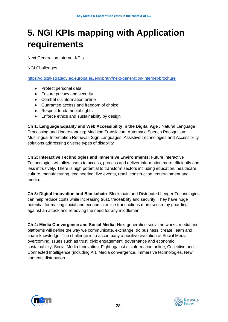## <span id="page-27-0"></span>**5. NGI KPIs mapping with Application requirements**

#### Next Generation Internet KPIs

NGI Challenges

<https://digital-strategy.ec.europa.eu/en/library/next-generation-internet-brochure>

- Protect personal data
- Ensure privacy and security
- Combat disinformation online
- Guarantee access and freedom of choice
- Respect fundamental rights
- Enforce ethics and sustainability by design

**Ch 1: Language Equality and Web Accessibility in the Digital Age :** Natural Language Processing and Understanding; Machine Translation; Automatic Speech Recognition; Multilingual Information Retrieval; Sign Languages; Assistive Technologies and Accessibility solutions addressing diverse types of disability

**Ch 2: Interactive Technologies and Immersive Environments:** Future Interactive Technologies will allow users to access, process and deliver information more efficiently and less intrusively. There is high potential to transform sectors including education, healthcare, culture, manufacturing, engineering, live events, retail, construction, entertainment and media.

**Ch 3: Digital Innovation and Blockchain**: Blockchain and Distributed Ledger Technologies can help reduce costs while increasing trust, traceability and security. They have huge potential for making social and economic online transactions more secure by guarding against an attack and removing the need for any middleman

**Ch 4: Media Convergence and Social Media:** Next generation social networks, media and platforms will define the way we communicate, exchange, do business, create, learn and share knowledge. The challenge is to accompany a positive evolution of Social Media, overcoming issues such as trust, civic engagement, governance and economic sustainability. Social Media Innovation, Fight against disinformation online, Collective and Connected Intelligence (including AI), Media convergence, Immersive technologies, New contents distribution

![](_page_27_Picture_15.jpeg)

![](_page_27_Picture_16.jpeg)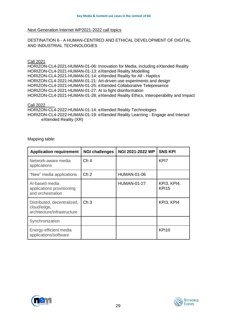#### Next Generation Internet WP2021-2022 call topics

#### DESTINATION 6 - A HUMAN-CENTRED AND ETHICAL DEVELOPMENT OF DIGITAL AND INDUSTRIAL TECHNOLOGIES

#### Call 2021

HORIZON-CL4-2021-HUMAN-01-06: Innovation for Media, including eXtended Reality HORIZON-CL4-2021-HUMAN-01-13: eXtended Reality Modelling HORIZON-CL4-2021-HUMAN-01-14: eXtended Reality for All - Haptics HORIZON-CL4-2021-HUMAN-01-21: Art-driven use experiments and design HORIZON-CL4-2021-HUMAN-01-25: eXtended Collaborative Telepresence HORIZON-CL4-2021-HUMAN-01-27: AI to fight disinformation HORIZON-CL4-2021-HUMAN-01-28: eXtended Reality Ethics, Interoperability and Impact

Call 2022

HORIZON-CL4-2022-HUMAN-01-14: eXtended Reality Technologies HORIZON-CL4-2022-HUMAN-01-19: eXtended Reality Learning - Engage and Interact eXtended Reality (XR)

Mapping table:

| <b>Application requirement</b>                                            | <b>NGI challenges</b> | <b>NGI 2021-2022 WP</b> | <b>SNS KPI</b>              |
|---------------------------------------------------------------------------|-----------------------|-------------------------|-----------------------------|
| Network-aware media<br>applications                                       | Ch <sub>4</sub>       |                         | KP <sub>17</sub>            |
| "New" media applications                                                  | Ch <sub>2</sub>       | <b>HUMAN-01-06</b>      |                             |
| Al-based media<br>applications provisioning<br>and orchestration          |                       | <b>HUMAN-01-27</b>      | KPI3, KPI4,<br><b>KPI15</b> |
| Distributed, decentralized,<br>cloud/edge,<br>architecture/infrastructure | Ch <sub>3</sub>       |                         | KPI3, KPI4                  |
| Synchronization                                                           |                       |                         |                             |
| Energy-efficient media<br>applications/software                           |                       |                         | KPI <sub>10</sub>           |

![](_page_28_Picture_9.jpeg)

![](_page_28_Picture_10.jpeg)